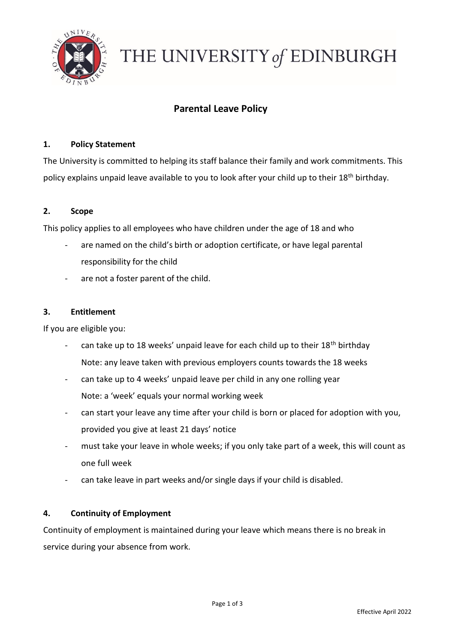

# THE UNIVERSITY of EDINBURGH

## **Parental Leave Policy**

#### **1. Policy Statement**

The University is committed to helping its staff balance their family and work commitments. This policy explains unpaid leave available to you to look after your child up to their 18<sup>th</sup> birthday.

#### **2. Scope**

This policy applies to all employees who have children under the age of 18 and who

- are named on the child's birth or adoption certificate, or have legal parental responsibility for the child
- are not a foster parent of the child.

#### **3. Entitlement**

If you are eligible you:

- can take up to 18 weeks' unpaid leave for each child up to their 18<sup>th</sup> birthday Note: any leave taken with previous employers counts towards the 18 weeks
- can take up to 4 weeks' unpaid leave per child in any one rolling year Note: a 'week' equals your normal working week
- can start your leave any time after your child is born or placed for adoption with you, provided you give at least 21 days' notice
- must take your leave in whole weeks; if you only take part of a week, this will count as one full week
- can take leave in part weeks and/or single days if your child is disabled.

#### **4. Continuity of Employment**

Continuity of employment is maintained during your leave which means there is no break in service during your absence from work.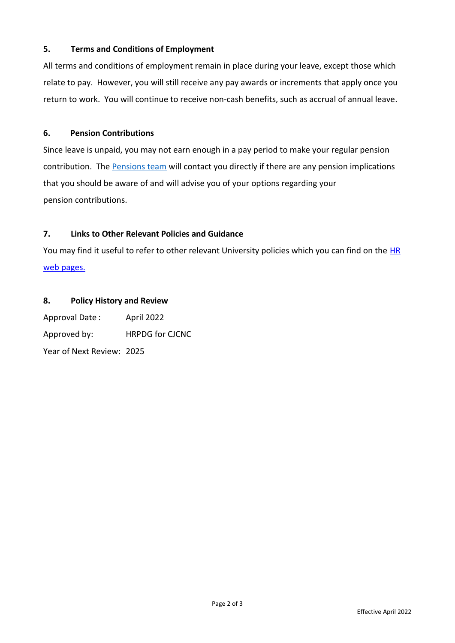#### **5. Terms and Conditions of Employment**

All terms and conditions of employment remain in place during your leave, except those which relate to pay. However, you will still receive any pay awards or increments that apply once you return to work. You will continue to receive non-cash benefits, such as accrual of annual leave.

#### **6. Pension Contributions**

Since leave is unpaid, you may not earn enough in a pay period to make your regular pension contribution. The [Pensions team](mailto:PensionsManager@ed.ac.uk) will contact you directly if there are any pension implications that you should be aware of and will advise you of your options regarding your pension contributions.

#### **7. Links to Other Relevant Policies and Guidance**

You may find it useful to refer to other relevant University policies which you can find on the HR [web pages.](https://www.ed.ac.uk/human-resources/policies-guidance/a-to-z-of-policies-and-guidance)

### **8. Policy History and Review**

Approval Date : April 2022 Approved by: HRPDG for CJCNC Year of Next Review: 2025